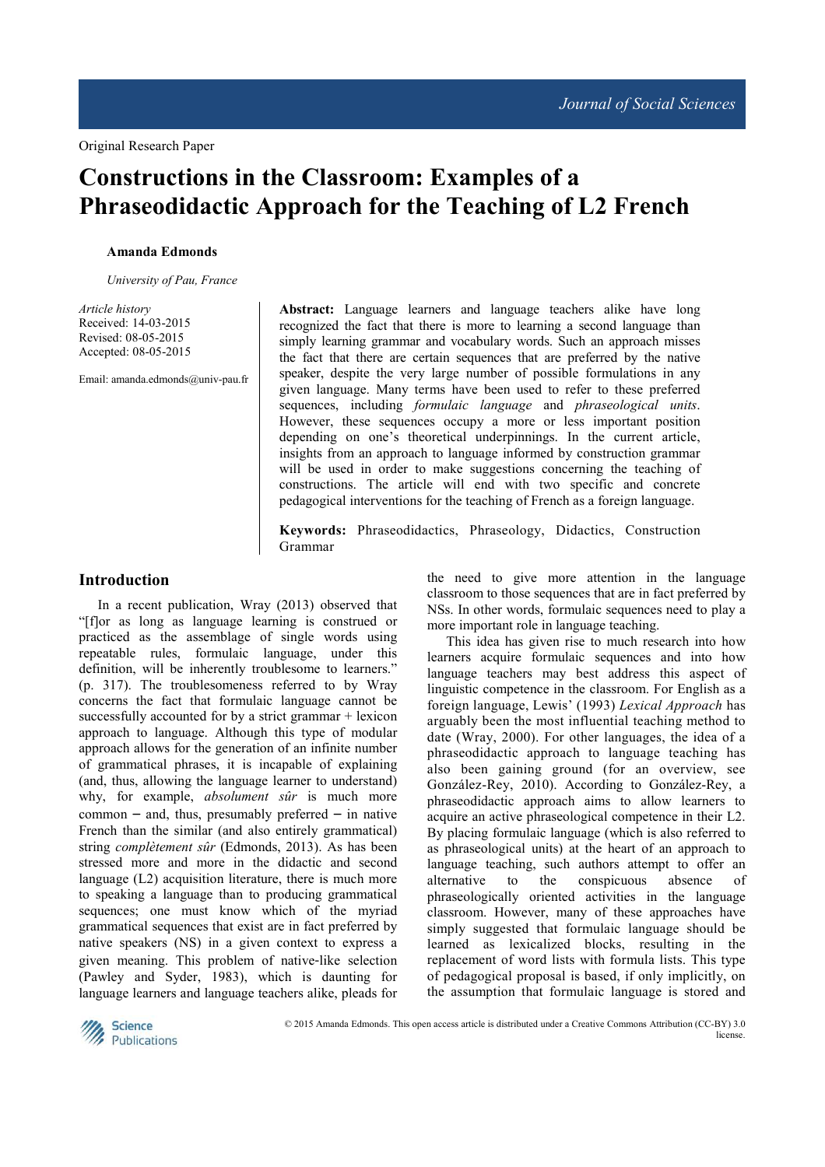# **Constructions in the Classroom: Examples of a Phraseodidactic Approach for the Teaching of L2 French**

#### **Amanda Edmonds**

*University of Pau, France* 

*Article history* Received: 14-03-2015 Revised: 08-05-2015 Accepted: 08-05-2015

Email: amanda.edmonds@univ-pau.fr

**Abstract:** Language learners and language teachers alike have long recognized the fact that there is more to learning a second language than simply learning grammar and vocabulary words. Such an approach misses the fact that there are certain sequences that are preferred by the native speaker, despite the very large number of possible formulations in any given language. Many terms have been used to refer to these preferred sequences, including *formulaic language* and *phraseological units*. However, these sequences occupy a more or less important position depending on one's theoretical underpinnings. In the current article, insights from an approach to language informed by construction grammar will be used in order to make suggestions concerning the teaching of constructions. The article will end with two specific and concrete pedagogical interventions for the teaching of French as a foreign language.

**Keywords:** Phraseodidactics, Phraseology, Didactics, Construction Grammar

### **Introduction**

In a recent publication, Wray (2013) observed that "[f]or as long as language learning is construed or practiced as the assemblage of single words using repeatable rules, formulaic language, under this definition, will be inherently troublesome to learners." (p. 317). The troublesomeness referred to by Wray concerns the fact that formulaic language cannot be successfully accounted for by a strict grammar + lexicon approach to language. Although this type of modular approach allows for the generation of an infinite number of grammatical phrases, it is incapable of explaining (and, thus, allowing the language learner to understand) why, for example, *absolument sûr* is much more  $common - and, thus, presumably preferred - in native$ French than the similar (and also entirely grammatical) string *complètement sûr* (Edmonds, 2013). As has been stressed more and more in the didactic and second language (L2) acquisition literature, there is much more to speaking a language than to producing grammatical sequences; one must know which of the myriad grammatical sequences that exist are in fact preferred by native speakers (NS) in a given context to express a given meaning. This problem of native-like selection (Pawley and Syder, 1983), which is daunting for language learners and language teachers alike, pleads for

the need to give more attention in the language classroom to those sequences that are in fact preferred by NSs. In other words, formulaic sequences need to play a more important role in language teaching.

This idea has given rise to much research into how learners acquire formulaic sequences and into how language teachers may best address this aspect of linguistic competence in the classroom. For English as a foreign language, Lewis' (1993) *Lexical Approach* has arguably been the most influential teaching method to date (Wray, 2000). For other languages, the idea of a phraseodidactic approach to language teaching has also been gaining ground (for an overview, see González-Rey, 2010). According to González-Rey, a phraseodidactic approach aims to allow learners to acquire an active phraseological competence in their L2. By placing formulaic language (which is also referred to as phraseological units) at the heart of an approach to language teaching, such authors attempt to offer an alternative to the conspicuous absence of phraseologically oriented activities in the language classroom. However, many of these approaches have simply suggested that formulaic language should be learned as lexicalized blocks, resulting in the replacement of word lists with formula lists. This type of pedagogical proposal is based, if only implicitly, on the assumption that formulaic language is stored and

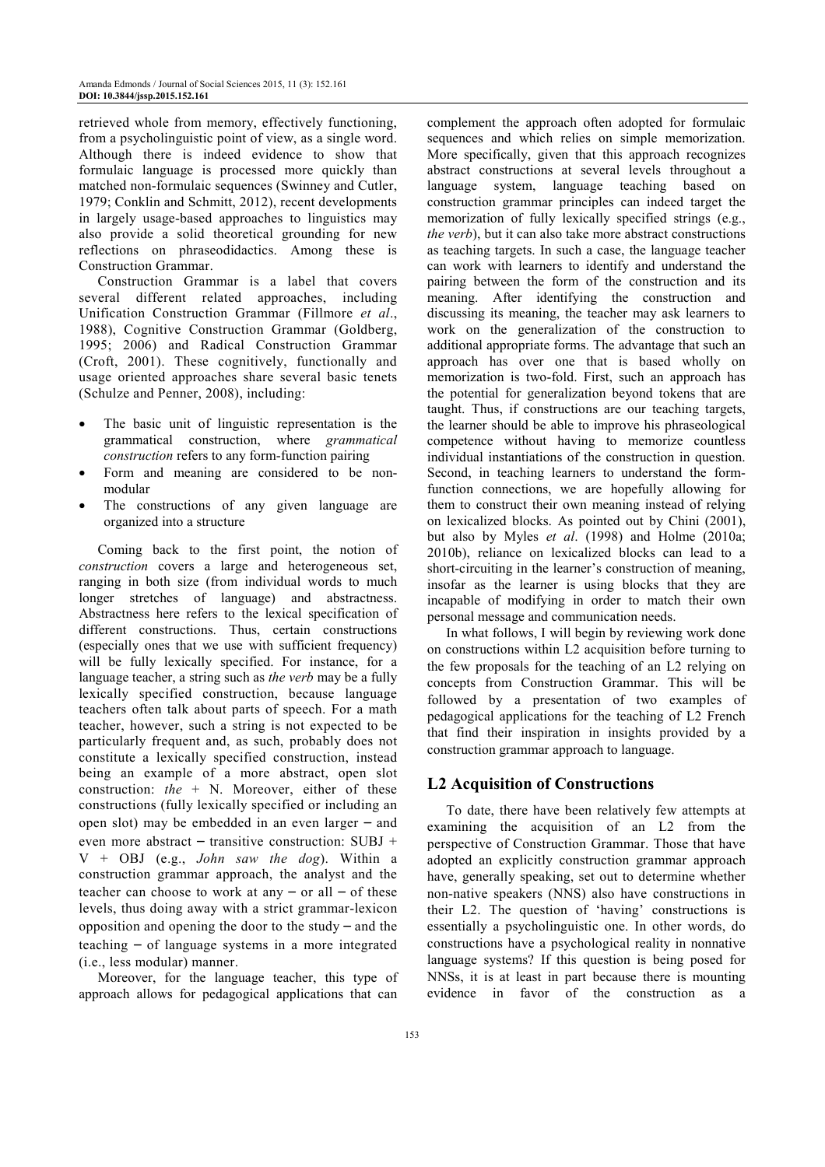retrieved whole from memory, effectively functioning, from a psycholinguistic point of view, as a single word. Although there is indeed evidence to show that formulaic language is processed more quickly than matched non-formulaic sequences (Swinney and Cutler, 1979; Conklin and Schmitt, 2012), recent developments in largely usage-based approaches to linguistics may also provide a solid theoretical grounding for new reflections on phraseodidactics. Among these is Construction Grammar.

Construction Grammar is a label that covers several different related approaches, including Unification Construction Grammar (Fillmore *et al*., 1988), Cognitive Construction Grammar (Goldberg, 1995; 2006) and Radical Construction Grammar (Croft, 2001). These cognitively, functionally and usage oriented approaches share several basic tenets (Schulze and Penner, 2008), including:

- The basic unit of linguistic representation is the grammatical construction, where *grammatical construction* refers to any form-function pairing
- Form and meaning are considered to be nonmodular
- The constructions of any given language are organized into a structure

Coming back to the first point, the notion of *construction* covers a large and heterogeneous set, ranging in both size (from individual words to much longer stretches of language) and abstractness. Abstractness here refers to the lexical specification of different constructions. Thus, certain constructions (especially ones that we use with sufficient frequency) will be fully lexically specified. For instance, for a language teacher, a string such as *the verb* may be a fully lexically specified construction, because language teachers often talk about parts of speech. For a math teacher, however, such a string is not expected to be particularly frequent and, as such, probably does not constitute a lexically specified construction, instead being an example of a more abstract, open slot construction: *the* + N. Moreover, either of these constructions (fully lexically specified or including an open slot) may be embedded in an even larger – and even more abstract – transitive construction: SUBJ + V + OBJ (e.g., *John saw the dog*). Within a construction grammar approach, the analyst and the teacher can choose to work at any  $-$  or all  $-$  of these levels, thus doing away with a strict grammar-lexicon opposition and opening the door to the study – and the teaching – of language systems in a more integrated (i.e., less modular) manner.

Moreover, for the language teacher, this type of approach allows for pedagogical applications that can

complement the approach often adopted for formulaic sequences and which relies on simple memorization. More specifically, given that this approach recognizes abstract constructions at several levels throughout a language system, language teaching based on construction grammar principles can indeed target the memorization of fully lexically specified strings (e.g., *the verb*), but it can also take more abstract constructions as teaching targets. In such a case, the language teacher can work with learners to identify and understand the pairing between the form of the construction and its meaning. After identifying the construction and discussing its meaning, the teacher may ask learners to work on the generalization of the construction to additional appropriate forms. The advantage that such an approach has over one that is based wholly on memorization is two-fold. First, such an approach has the potential for generalization beyond tokens that are taught. Thus, if constructions are our teaching targets, the learner should be able to improve his phraseological competence without having to memorize countless individual instantiations of the construction in question. Second, in teaching learners to understand the formfunction connections, we are hopefully allowing for them to construct their own meaning instead of relying on lexicalized blocks. As pointed out by Chini (2001), but also by Myles *et al*. (1998) and Holme (2010a; 2010b), reliance on lexicalized blocks can lead to a short-circuiting in the learner's construction of meaning, insofar as the learner is using blocks that they are incapable of modifying in order to match their own personal message and communication needs.

In what follows, I will begin by reviewing work done on constructions within L2 acquisition before turning to the few proposals for the teaching of an L2 relying on concepts from Construction Grammar. This will be followed by a presentation of two examples of pedagogical applications for the teaching of L2 French that find their inspiration in insights provided by a construction grammar approach to language.

# **L2 Acquisition of Constructions**

To date, there have been relatively few attempts at examining the acquisition of an L2 from the perspective of Construction Grammar. Those that have adopted an explicitly construction grammar approach have, generally speaking, set out to determine whether non-native speakers (NNS) also have constructions in their L2. The question of 'having' constructions is essentially a psycholinguistic one. In other words, do constructions have a psychological reality in nonnative language systems? If this question is being posed for NNSs, it is at least in part because there is mounting evidence in favor of the construction as a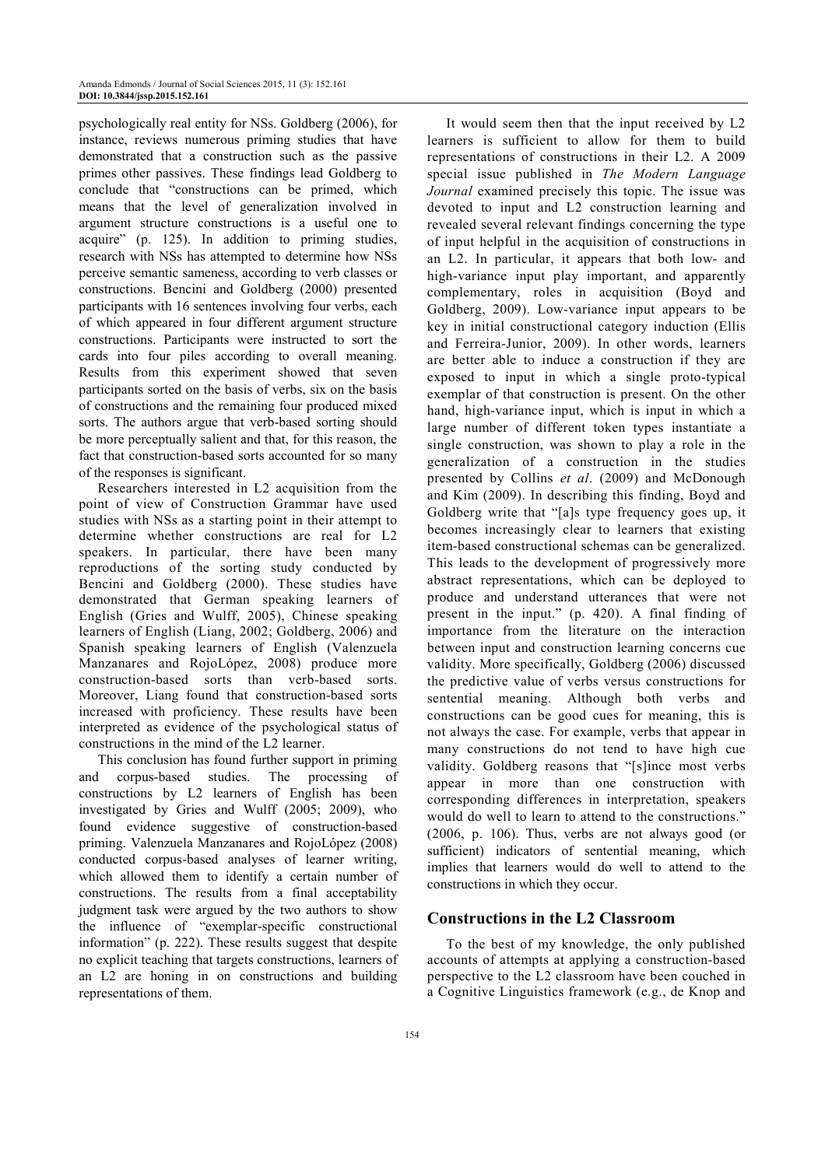psychologically real entity for NSs. Goldberg (2006), for instance, reviews numerous priming studies that have demonstrated that a construction such as the passive primes other passives. These findings lead Goldberg to conclude that "constructions can be primed, which means that the level of generalization involved in argument structure constructions is a useful one to acquire" (p. 125). In addition to priming studies, research with NSs has attempted to determine how NSs perceive semantic sameness, according to verb classes or constructions. Bencini and Goldberg (2000) presented participants with 16 sentences involving four verbs, each of which appeared in four different argument structure constructions. Participants were instructed to sort the cards into four piles according to overall meaning. Results from this experiment showed that seven participants sorted on the basis of verbs, six on the basis of constructions and the remaining four produced mixed sorts. The authors argue that verb-based sorting should be more perceptually salient and that, for this reason, the fact that construction-based sorts accounted for so many of the responses is significant.

Researchers interested in L2 acquisition from the point of view of Construction Grammar have used studies with NSs as a starting point in their attempt to determine whether constructions are real for L2 speakers. In particular, there have been many reproductions of the sorting study conducted by Bencini and Goldberg (2000). These studies have demonstrated that German speaking learners of English (Gries and Wulff, 2005), Chinese speaking learners of English (Liang, 2002; Goldberg, 2006) and Spanish speaking learners of English (Valenzuela Manzanares and RojoLópez, 2008) produce more construction-based sorts than verb-based sorts. Moreover, Liang found that construction-based sorts increased with proficiency. These results have been interpreted as evidence of the psychological status of constructions in the mind of the L2 learner.

This conclusion has found further support in priming corpus-based studies. The processing of constructions by L2 learners of English has been investigated by Gries and Wulff (2005; 2009), who found evidence suggestive of construction-based priming. Valenzuela Manzanares and RojoLópez (2008) conducted corpus-based analyses of learner writing, which allowed them to identify a certain number of constructions. The results from a final acceptability judgment task were argued by the two authors to show the influence of "exemplar-specific constructional information" (p. 222). These results suggest that despite no explicit teaching that targets constructions, learners of an L2 are honing in on constructions and building representations of them.

It would seem then that the input received by L2 learners is sufficient to allow for them to build representations of constructions in their L2. A 2009 special issue published in *The Modern Language Journal* examined precisely this topic. The issue was devoted to input and L2 construction learning and revealed several relevant findings concerning the type of input helpful in the acquisition of constructions in an L2. In particular, it appears that both low- and high-variance input play important, and apparently complementary, roles in acquisition (Boyd and Goldberg, 2009). Low-variance input appears to be key in initial constructional category induction (Ellis and Ferreira-Junior, 2009). In other words, learners are better able to induce a construction if they are exposed to input in which a single proto-typical exemplar of that construction is present. On the other hand, high-variance input, which is input in which a large number of different token types instantiate a single construction, was shown to play a role in the generalization of a construction in the studies presented by Collins *et al*. (2009) and McDonough and Kim (2009). In describing this finding, Boyd and Goldberg write that "[a]s type frequency goes up, it becomes increasingly clear to learners that existing item-based constructional schemas can be generalized. This leads to the development of progressively more abstract representations, which can be deployed to produce and understand utterances that were not present in the input." (p. 420). A final finding of importance from the literature on the interaction between input and construction learning concerns cue validity. More specifically, Goldberg (2006) discussed the predictive value of verbs versus constructions for sentential meaning. Although both verbs and constructions can be good cues for meaning, this is not always the case. For example, verbs that appear in many constructions do not tend to have high cue validity. Goldberg reasons that "[s]ince most verbs appear in more than one construction with corresponding differences in interpretation, speakers would do well to learn to attend to the constructions." (2006, p. 106). Thus, verbs are not always good (or sufficient) indicators of sentential meaning, which implies that learners would do well to attend to the constructions in which they occur.

# **Constructions in the L2 Classroom**

To the best of my knowledge, the only published accounts of attempts at applying a construction-based perspective to the L2 classroom have been couched in a Cognitive Linguistics framework (e.g., de Knop and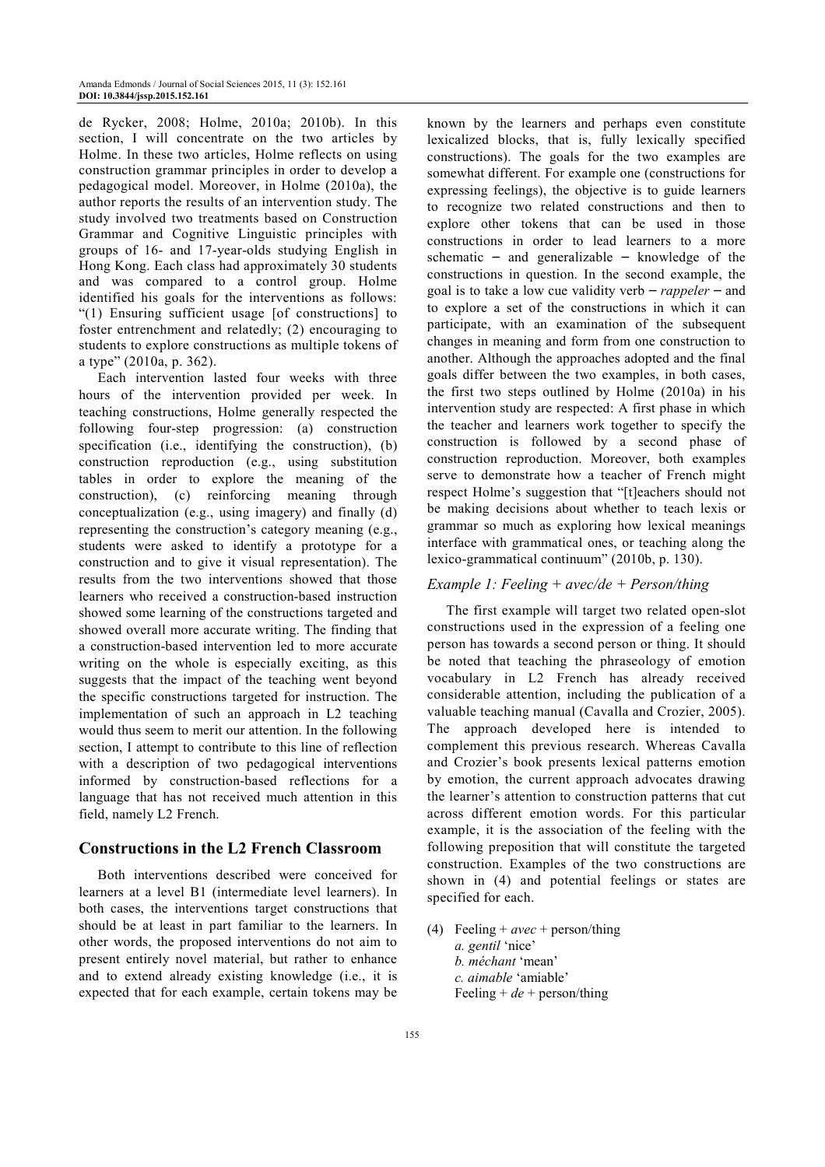de Rycker, 2008; Holme, 2010a; 2010b). In this section, I will concentrate on the two articles by Holme. In these two articles, Holme reflects on using construction grammar principles in order to develop a pedagogical model. Moreover, in Holme (2010a), the author reports the results of an intervention study. The study involved two treatments based on Construction Grammar and Cognitive Linguistic principles with groups of 16- and 17-year-olds studying English in Hong Kong. Each class had approximately 30 students and was compared to a control group. Holme identified his goals for the interventions as follows: "(1) Ensuring sufficient usage [of constructions] to foster entrenchment and relatedly; (2) encouraging to students to explore constructions as multiple tokens of a type" (2010a, p. 362).

Each intervention lasted four weeks with three hours of the intervention provided per week. In teaching constructions, Holme generally respected the following four-step progression: (a) construction specification (i.e., identifying the construction), (b) construction reproduction (e.g., using substitution tables in order to explore the meaning of the construction), (c) reinforcing meaning through conceptualization (e.g., using imagery) and finally (d) representing the construction's category meaning (e.g., students were asked to identify a prototype for a construction and to give it visual representation). The results from the two interventions showed that those learners who received a construction-based instruction showed some learning of the constructions targeted and showed overall more accurate writing. The finding that a construction-based intervention led to more accurate writing on the whole is especially exciting, as this suggests that the impact of the teaching went beyond the specific constructions targeted for instruction. The implementation of such an approach in L2 teaching would thus seem to merit our attention. In the following section, I attempt to contribute to this line of reflection with a description of two pedagogical interventions informed by construction-based reflections for a language that has not received much attention in this field, namely L2 French.

#### **Constructions in the L2 French Classroom**

Both interventions described were conceived for learners at a level B1 (intermediate level learners). In both cases, the interventions target constructions that should be at least in part familiar to the learners. In other words, the proposed interventions do not aim to present entirely novel material, but rather to enhance and to extend already existing knowledge (i.e., it is expected that for each example, certain tokens may be

known by the learners and perhaps even constitute lexicalized blocks, that is, fully lexically specified constructions). The goals for the two examples are somewhat different. For example one (constructions for expressing feelings), the objective is to guide learners to recognize two related constructions and then to explore other tokens that can be used in those constructions in order to lead learners to a more schematic – and generalizable – knowledge of the constructions in question. In the second example, the goal is to take a low cue validity verb – *rappeler* – and to explore a set of the constructions in which it can participate, with an examination of the subsequent changes in meaning and form from one construction to another. Although the approaches adopted and the final goals differ between the two examples, in both cases, the first two steps outlined by Holme (2010a) in his intervention study are respected: A first phase in which the teacher and learners work together to specify the construction is followed by a second phase of construction reproduction. Moreover, both examples serve to demonstrate how a teacher of French might respect Holme's suggestion that "[t]eachers should not be making decisions about whether to teach lexis or grammar so much as exploring how lexical meanings interface with grammatical ones, or teaching along the lexico-grammatical continuum" (2010b, p. 130).

#### *Example 1: Feeling + avec/de + Person/thing*

The first example will target two related open-slot constructions used in the expression of a feeling one person has towards a second person or thing. It should be noted that teaching the phraseology of emotion vocabulary in L2 French has already received considerable attention, including the publication of a valuable teaching manual (Cavalla and Crozier, 2005). The approach developed here is intended to complement this previous research. Whereas Cavalla and Crozier's book presents lexical patterns emotion by emotion, the current approach advocates drawing the learner's attention to construction patterns that cut across different emotion words. For this particular example, it is the association of the feeling with the following preposition that will constitute the targeted construction. Examples of the two constructions are shown in (4) and potential feelings or states are specified for each.

(4) Feeling + *avec* + person/thing  *a. gentil* 'nice'  *b. méchant* 'mean'  *c. aimable* 'amiable' Feeling  $+de$  + person/thing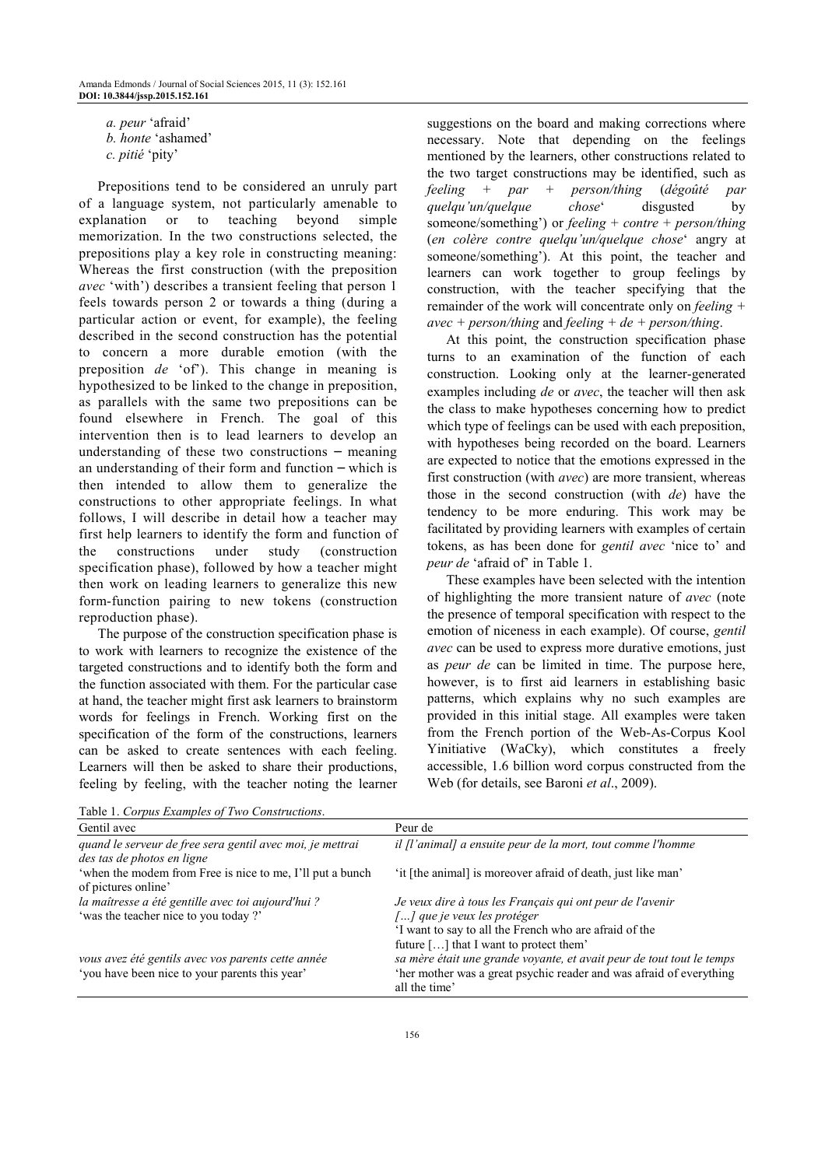*a. peur* 'afraid'  *b. honte* 'ashamed'

 *c. pitié* 'pity'

Prepositions tend to be considered an unruly part of a language system, not particularly amenable to explanation or to teaching beyond simple memorization. In the two constructions selected, the prepositions play a key role in constructing meaning: Whereas the first construction (with the preposition *avec* 'with') describes a transient feeling that person 1 feels towards person 2 or towards a thing (during a particular action or event, for example), the feeling described in the second construction has the potential to concern a more durable emotion (with the preposition *de* 'of'). This change in meaning is hypothesized to be linked to the change in preposition, as parallels with the same two prepositions can be found elsewhere in French. The goal of this intervention then is to lead learners to develop an understanding of these two constructions – meaning an understanding of their form and function – which is then intended to allow them to generalize the constructions to other appropriate feelings. In what follows, I will describe in detail how a teacher may first help learners to identify the form and function of the constructions under study (construction specification phase), followed by how a teacher might then work on leading learners to generalize this new form-function pairing to new tokens (construction reproduction phase).

The purpose of the construction specification phase is to work with learners to recognize the existence of the targeted constructions and to identify both the form and the function associated with them. For the particular case at hand, the teacher might first ask learners to brainstorm words for feelings in French. Working first on the specification of the form of the constructions, learners can be asked to create sentences with each feeling. Learners will then be asked to share their productions, feeling by feeling, with the teacher noting the learner

suggestions on the board and making corrections where necessary. Note that depending on the feelings mentioned by the learners, other constructions related to the two target constructions may be identified, such as *feeling* + *par* + *person/thing* (*dégoûté par quelqu'un/quelque chose*' disgusted by someone/something') or *feeling* + *contre* + *person/thing* (*en colère contre quelqu'un/quelque chose*' angry at someone/something'). At this point, the teacher and learners can work together to group feelings by construction, with the teacher specifying that the remainder of the work will concentrate only on *feeling + avec + person/thing* and *feeling + de + person/thing*.

At this point, the construction specification phase turns to an examination of the function of each construction. Looking only at the learner-generated examples including *de* or *avec*, the teacher will then ask the class to make hypotheses concerning how to predict which type of feelings can be used with each preposition, with hypotheses being recorded on the board. Learners are expected to notice that the emotions expressed in the first construction (with *avec*) are more transient, whereas those in the second construction (with *de*) have the tendency to be more enduring. This work may be facilitated by providing learners with examples of certain tokens, as has been done for *gentil avec* 'nice to' and *peur de* 'afraid of' in Table 1.

These examples have been selected with the intention of highlighting the more transient nature of *avec* (note the presence of temporal specification with respect to the emotion of niceness in each example). Of course, *gentil avec* can be used to express more durative emotions, just as *peur de* can be limited in time. The purpose here, however, is to first aid learners in establishing basic patterns, which explains why no such examples are provided in this initial stage. All examples were taken from the French portion of the Web-As-Corpus Kool Yinitiative (WaCky), which constitutes a freely accessible, 1.6 billion word corpus constructed from the Web (for details, see Baroni *et al*., 2009).

Table 1. *Corpus Examples of Two Constructions*.

| Gentil avec                                                                                          | Peur de                                                                                                                                                                                      |
|------------------------------------------------------------------------------------------------------|----------------------------------------------------------------------------------------------------------------------------------------------------------------------------------------------|
| quand le serveur de free sera gentil avec moi, je mettrai<br>des tas de photos en ligne              | il [l'animal] a ensuite peur de la mort, tout comme l'homme                                                                                                                                  |
| 'when the modem from Free is nice to me, I'll put a bunch<br>of pictures online'                     | 'it [the animal] is moreover afraid of death, just like man'                                                                                                                                 |
| la maîtresse a été gentille avec toi aujourd'hui ?<br>'was the teacher nice to you today?'           | Je veux dire à tous les Français qui ont peur de l'avenir<br>[] que je veux les protéger<br>'I want to say to all the French who are afraid of the<br>future [] that I want to protect them' |
| vous avez été gentils avec vos parents cette année<br>'you have been nice to your parents this year' | sa mère était une grande voyante, et avait peur de tout tout le temps<br>'her mother was a great psychic reader and was afraid of everything<br>all the time'                                |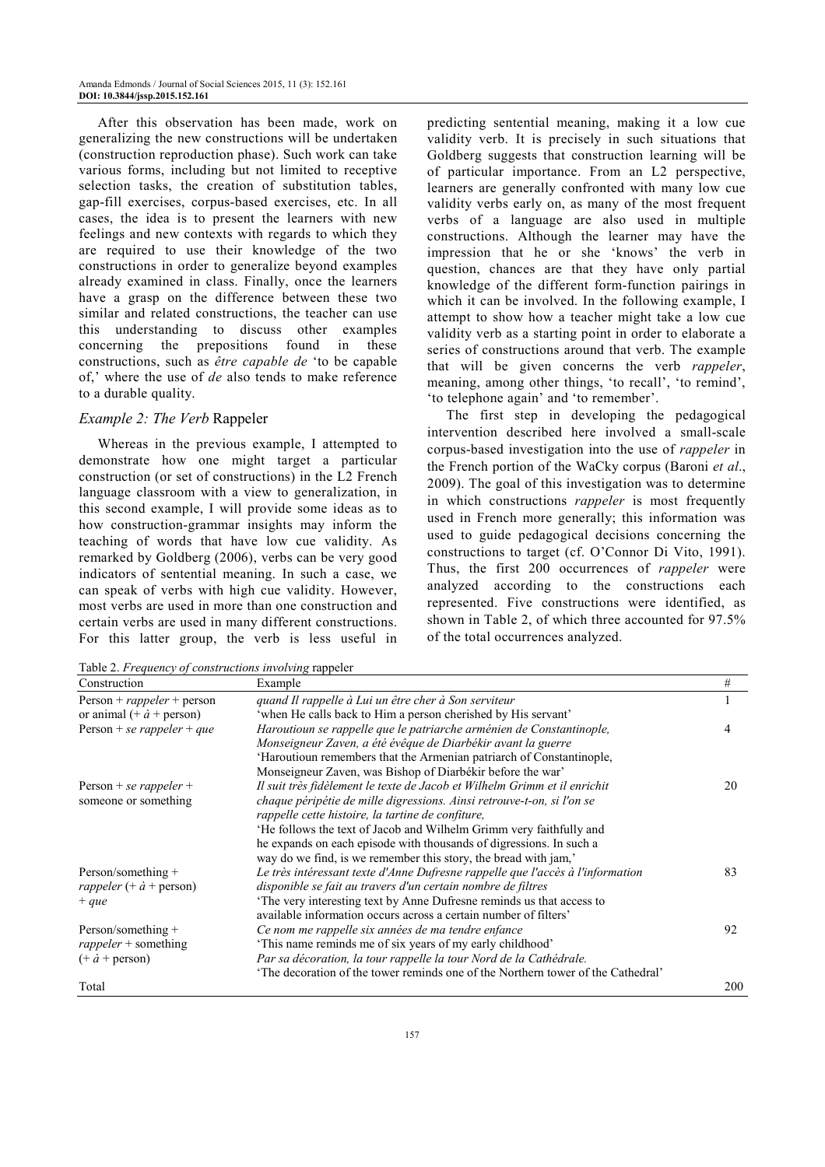After this observation has been made, work on generalizing the new constructions will be undertaken (construction reproduction phase). Such work can take various forms, including but not limited to receptive selection tasks, the creation of substitution tables, gap-fill exercises, corpus-based exercises, etc. In all cases, the idea is to present the learners with new feelings and new contexts with regards to which they are required to use their knowledge of the two constructions in order to generalize beyond examples already examined in class. Finally, once the learners have a grasp on the difference between these two similar and related constructions, the teacher can use this understanding to discuss other examples concerning the prepositions found in these constructions, such as *être capable de* 'to be capable of,' where the use of *de* also tends to make reference to a durable quality.

#### *Example 2: The Verb* Rappeler

Whereas in the previous example, I attempted to demonstrate how one might target a particular construction (or set of constructions) in the L2 French language classroom with a view to generalization, in this second example, I will provide some ideas as to how construction-grammar insights may inform the teaching of words that have low cue validity. As remarked by Goldberg (2006), verbs can be very good indicators of sentential meaning. In such a case, we can speak of verbs with high cue validity. However, most verbs are used in more than one construction and certain verbs are used in many different constructions. For this latter group, the verb is less useful in

predicting sentential meaning, making it a low cue validity verb. It is precisely in such situations that Goldberg suggests that construction learning will be of particular importance. From an L2 perspective, learners are generally confronted with many low cue validity verbs early on, as many of the most frequent verbs of a language are also used in multiple constructions. Although the learner may have the impression that he or she 'knows' the verb in question, chances are that they have only partial knowledge of the different form-function pairings in which it can be involved. In the following example, I attempt to show how a teacher might take a low cue validity verb as a starting point in order to elaborate a series of constructions around that verb. The example that will be given concerns the verb *rappeler*, meaning, among other things, 'to recall', 'to remind', 'to telephone again' and 'to remember'.

The first step in developing the pedagogical intervention described here involved a small-scale corpus-based investigation into the use of *rappeler* in the French portion of the WaCky corpus (Baroni *et al*., 2009). The goal of this investigation was to determine in which constructions *rappeler* is most frequently used in French more generally; this information was used to guide pedagogical decisions concerning the constructions to target (cf. O'Connor Di Vito, 1991). Thus, the first 200 occurrences of *rappeler* were analyzed according to the constructions each represented. Five constructions were identified, as shown in Table 2, of which three accounted for 97.5% of the total occurrences analyzed.

Table 2. *Frequency of constructions involving* rappeler

| Table 2. Trequency of constructions involving rappeler |                                                                                  |     |  |  |
|--------------------------------------------------------|----------------------------------------------------------------------------------|-----|--|--|
| Construction                                           | Example                                                                          | #   |  |  |
| $Person + rappeler + person$                           | quand Il rappelle à Lui un être cher à Son serviteur                             |     |  |  |
| or animal $(+\dot{a} +$ person)                        | 'when He calls back to Him a person cherished by His servant'                    |     |  |  |
| Person + se rappeler + que                             | Haroutioun se rappelle que le patriarche arménien de Constantinople,             | 4   |  |  |
|                                                        | Monseigneur Zaven, a été évêque de Diarbékir avant la guerre                     |     |  |  |
|                                                        | 'Haroutioun remembers that the Armenian patriarch of Constantinople,             |     |  |  |
|                                                        | Monseigneur Zaven, was Bishop of Diarbékir before the war'                       |     |  |  |
| Person + se rappeler +                                 | Il suit très fidèlement le texte de Jacob et Wilhelm Grimm et il enrichit        | 20  |  |  |
| someone or something                                   | chaque péripétie de mille digressions. Ainsi retrouve-t-on, si l'on se           |     |  |  |
|                                                        | rappelle cette histoire, la tartine de confiture,                                |     |  |  |
|                                                        | He follows the text of Jacob and Wilhelm Grimm very faithfully and               |     |  |  |
|                                                        | he expands on each episode with thousands of digressions. In such a              |     |  |  |
|                                                        | way do we find, is we remember this story, the bread with jam,'                  |     |  |  |
| Person/something $+$                                   | Le très intéressant texte d'Anne Dufresne rappelle que l'accès à l'information   | 83  |  |  |
| rappeler $(+ \dot{a} +$ person)                        | disponible se fait au travers d'un certain nombre de filtres                     |     |  |  |
| $+ que$                                                | 'The very interesting text by Anne Dufresne reminds us that access to            |     |  |  |
|                                                        | available information occurs across a certain number of filters'                 |     |  |  |
| Person/something $+$                                   | Ce nom me rappelle six années de ma tendre enfance                               | 92  |  |  |
| $rappeler + something$                                 | This name reminds me of six years of my early childhood'                         |     |  |  |
| $(+\dot{a} +$ person)                                  | Par sa décoration, la tour rappelle la tour Nord de la Cathédrale.               |     |  |  |
|                                                        | 'The decoration of the tower reminds one of the Northern tower of the Cathedral' |     |  |  |
| Total                                                  |                                                                                  | 200 |  |  |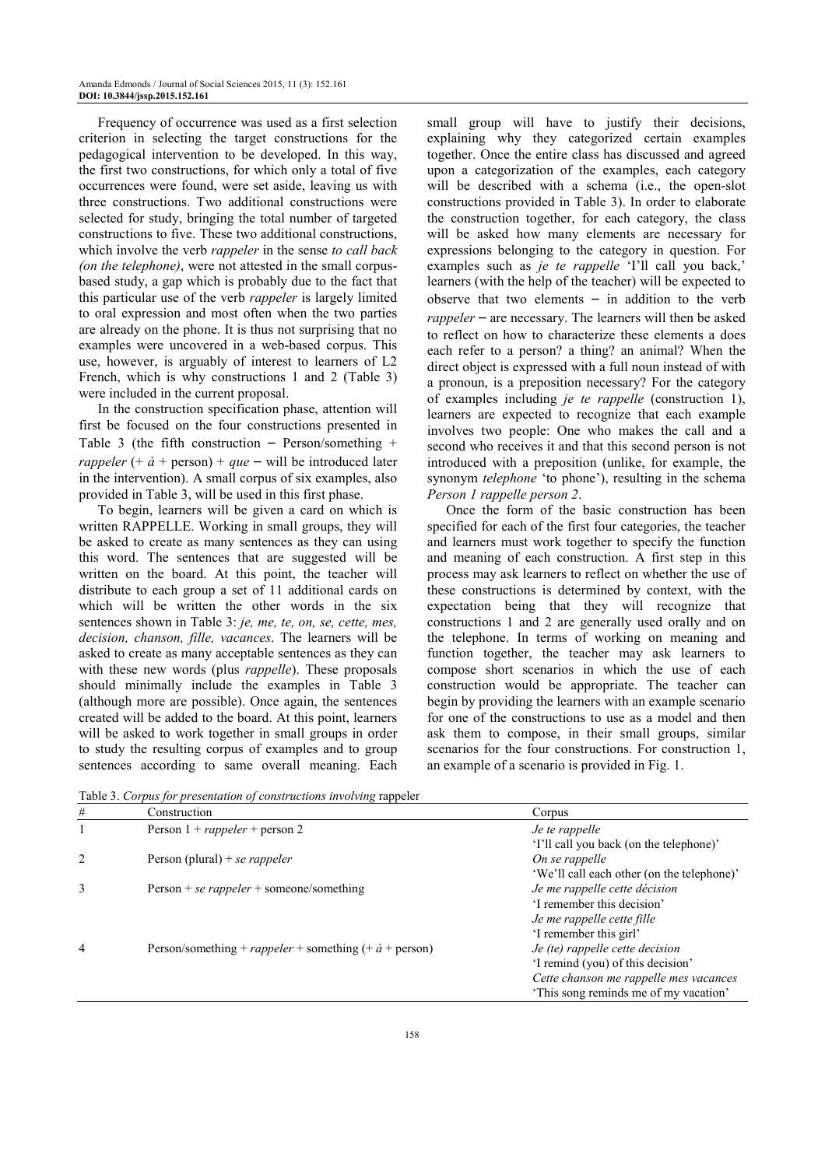Frequency of occurrence was used as a first selection criterion in selecting the target constructions for the pedagogical intervention to be developed. In this way, the first two constructions, for which only a total of five occurrences were found, were set aside, leaving us with three constructions. Two additional constructions were selected for study, bringing the total number of targeted constructions to five. These two additional constructions, which involve the verb *rappeler* in the sense *to call back (on the telephone)*, were not attested in the small corpusbased study, a gap which is probably due to the fact that this particular use of the verb *rappeler* is largely limited to oral expression and most often when the two parties are already on the phone. It is thus not surprising that no examples were uncovered in a web-based corpus. This use, however, is arguably of interest to learners of L2 French, which is why constructions 1 and 2 (Table 3) were included in the current proposal.

In the construction specification phase, attention will first be focused on the four constructions presented in Table 3 (the fifth construction – Person/something + *rappeler* (+  $\dot{a}$  + person) + *que* – will be introduced later in the intervention). A small corpus of six examples, also provided in Table 3, will be used in this first phase.

To begin, learners will be given a card on which is written RAPPELLE. Working in small groups, they will be asked to create as many sentences as they can using this word. The sentences that are suggested will be written on the board. At this point, the teacher will distribute to each group a set of 11 additional cards on which will be written the other words in the six sentences shown in Table 3: *je, me, te, on, se, cette, mes, decision, chanson, fille, vacances*. The learners will be asked to create as many acceptable sentences as they can with these new words (plus *rappelle*). These proposals should minimally include the examples in Table 3 (although more are possible). Once again, the sentences created will be added to the board. At this point, learners will be asked to work together in small groups in order to study the resulting corpus of examples and to group sentences according to same overall meaning. Each small group will have to justify their decisions, explaining why they categorized certain examples together. Once the entire class has discussed and agreed upon a categorization of the examples, each category will be described with a schema (i.e., the open-slot constructions provided in Table 3). In order to elaborate the construction together, for each category, the class will be asked how many elements are necessary for expressions belonging to the category in question. For examples such as *je te rappelle* 'I'll call you back,' learners (with the help of the teacher) will be expected to observe that two elements  $-$  in addition to the verb *rappeler* – are necessary. The learners will then be asked to reflect on how to characterize these elements a does each refer to a person? a thing? an animal? When the direct object is expressed with a full noun instead of with a pronoun, is a preposition necessary? For the category of examples including *je te rappelle* (construction 1), learners are expected to recognize that each example involves two people: One who makes the call and a second who receives it and that this second person is not introduced with a preposition (unlike, for example, the synonym *telephone* 'to phone'), resulting in the schema *Person 1 rappelle person 2*.

Once the form of the basic construction has been specified for each of the first four categories, the teacher and learners must work together to specify the function and meaning of each construction. A first step in this process may ask learners to reflect on whether the use of these constructions is determined by context, with the expectation being that they will recognize that constructions 1 and 2 are generally used orally and on the telephone. In terms of working on meaning and function together, the teacher may ask learners to compose short scenarios in which the use of each construction would be appropriate. The teacher can begin by providing the learners with an example scenario for one of the constructions to use as a model and then ask them to compose, in their small groups, similar scenarios for the four constructions. For construction 1, an example of a scenario is provided in Fig. 1.

Table 3. *Corpus for presentation of constructions involving* rappeler

| #             | Construction                                                          | Corpus                                     |
|---------------|-----------------------------------------------------------------------|--------------------------------------------|
|               | Person $1 + rappeler + person 2$                                      | Je te rappelle                             |
|               |                                                                       | 'I'll call you back (on the telephone)'    |
| $\mathcal{L}$ | Person (plural) + se rappeler                                         | On se rappelle                             |
|               |                                                                       | 'We'll call each other (on the telephone)' |
| 3             | Person + se rappeler + someone/something                              | Je me rappelle cette décision              |
|               |                                                                       | 'I remember this decision'                 |
|               |                                                                       | Je me rappelle cette fille                 |
|               |                                                                       | 'I remember this girl'                     |
| 4             | Person/something + <i>rappeler</i> + something $(+ \dot{a} +$ person) | Je (te) rappelle cette decision            |
|               |                                                                       | 'I remind (you) of this decision'          |
|               |                                                                       | Cette chanson me rappelle mes vacances     |
|               |                                                                       | 'This song reminds me of my vacation'      |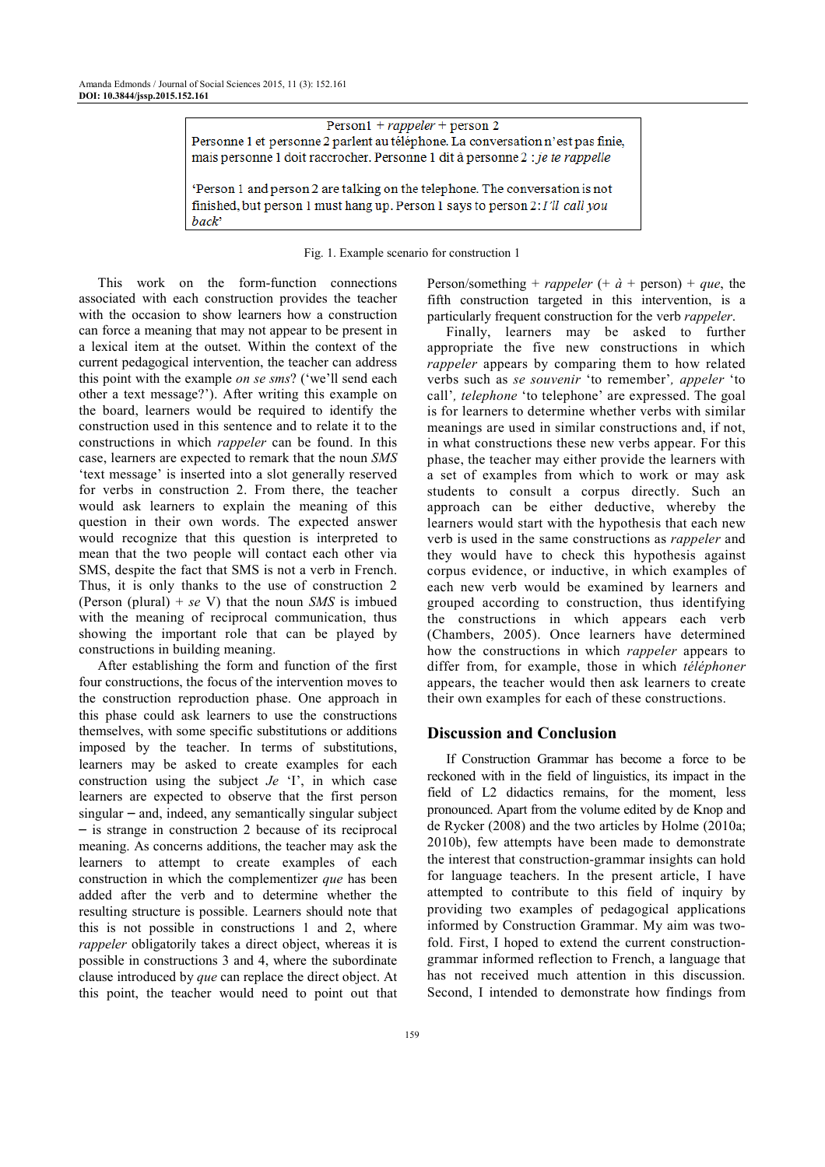Person $1 + rappeler + person 2$ Personne 1 et personne 2 parlent au téléphone. La conversation n'est pas finie, mais personne 1 doit raccrocher. Personne 1 dit à personne 2 : je te rappelle

'Person 1 and person 2 are talking on the telephone. The conversation is not finished, but person 1 must hang up. Person 1 says to person 2: I'll call you back'

Fig. 1. Example scenario for construction 1

This work on the form-function connections associated with each construction provides the teacher with the occasion to show learners how a construction can force a meaning that may not appear to be present in a lexical item at the outset. Within the context of the current pedagogical intervention, the teacher can address this point with the example *on se sms*? ('we'll send each other a text message?'). After writing this example on the board, learners would be required to identify the construction used in this sentence and to relate it to the constructions in which *rappeler* can be found. In this case, learners are expected to remark that the noun *SMS*  'text message' is inserted into a slot generally reserved for verbs in construction 2. From there, the teacher would ask learners to explain the meaning of this question in their own words. The expected answer would recognize that this question is interpreted to mean that the two people will contact each other via SMS, despite the fact that SMS is not a verb in French. Thus, it is only thanks to the use of construction 2 (Person (plural) + *se* V) that the noun *SMS* is imbued with the meaning of reciprocal communication, thus showing the important role that can be played by constructions in building meaning.

After establishing the form and function of the first four constructions, the focus of the intervention moves to the construction reproduction phase. One approach in this phase could ask learners to use the constructions themselves, with some specific substitutions or additions imposed by the teacher. In terms of substitutions, learners may be asked to create examples for each construction using the subject *Je* 'I', in which case learners are expected to observe that the first person singular – and, indeed, any semantically singular subject – is strange in construction 2 because of its reciprocal meaning. As concerns additions, the teacher may ask the learners to attempt to create examples of each construction in which the complementizer *que* has been added after the verb and to determine whether the resulting structure is possible. Learners should note that this is not possible in constructions 1 and 2, where *rappeler* obligatorily takes a direct object, whereas it is possible in constructions 3 and 4, where the subordinate clause introduced by *que* can replace the direct object. At this point, the teacher would need to point out that

Person/something + *rappeler* (+  $\dot{a}$  + person) + *que*, the fifth construction targeted in this intervention, is a particularly frequent construction for the verb *rappeler*.

Finally, learners may be asked to further appropriate the five new constructions in which *rappeler* appears by comparing them to how related verbs such as *se souvenir* 'to remember'*, appeler* 'to call'*, telephone* 'to telephone' are expressed. The goal is for learners to determine whether verbs with similar meanings are used in similar constructions and, if not, in what constructions these new verbs appear. For this phase, the teacher may either provide the learners with a set of examples from which to work or may ask students to consult a corpus directly. Such an approach can be either deductive, whereby the learners would start with the hypothesis that each new verb is used in the same constructions as *rappeler* and they would have to check this hypothesis against corpus evidence, or inductive, in which examples of each new verb would be examined by learners and grouped according to construction, thus identifying the constructions in which appears each verb (Chambers, 2005). Once learners have determined how the constructions in which *rappeler* appears to differ from, for example, those in which *téléphoner* appears, the teacher would then ask learners to create their own examples for each of these constructions.

#### **Discussion and Conclusion**

If Construction Grammar has become a force to be reckoned with in the field of linguistics, its impact in the field of L2 didactics remains, for the moment, less pronounced. Apart from the volume edited by de Knop and de Rycker (2008) and the two articles by Holme (2010a; 2010b), few attempts have been made to demonstrate the interest that construction-grammar insights can hold for language teachers. In the present article, I have attempted to contribute to this field of inquiry by providing two examples of pedagogical applications informed by Construction Grammar. My aim was twofold. First, I hoped to extend the current constructiongrammar informed reflection to French, a language that has not received much attention in this discussion. Second, I intended to demonstrate how findings from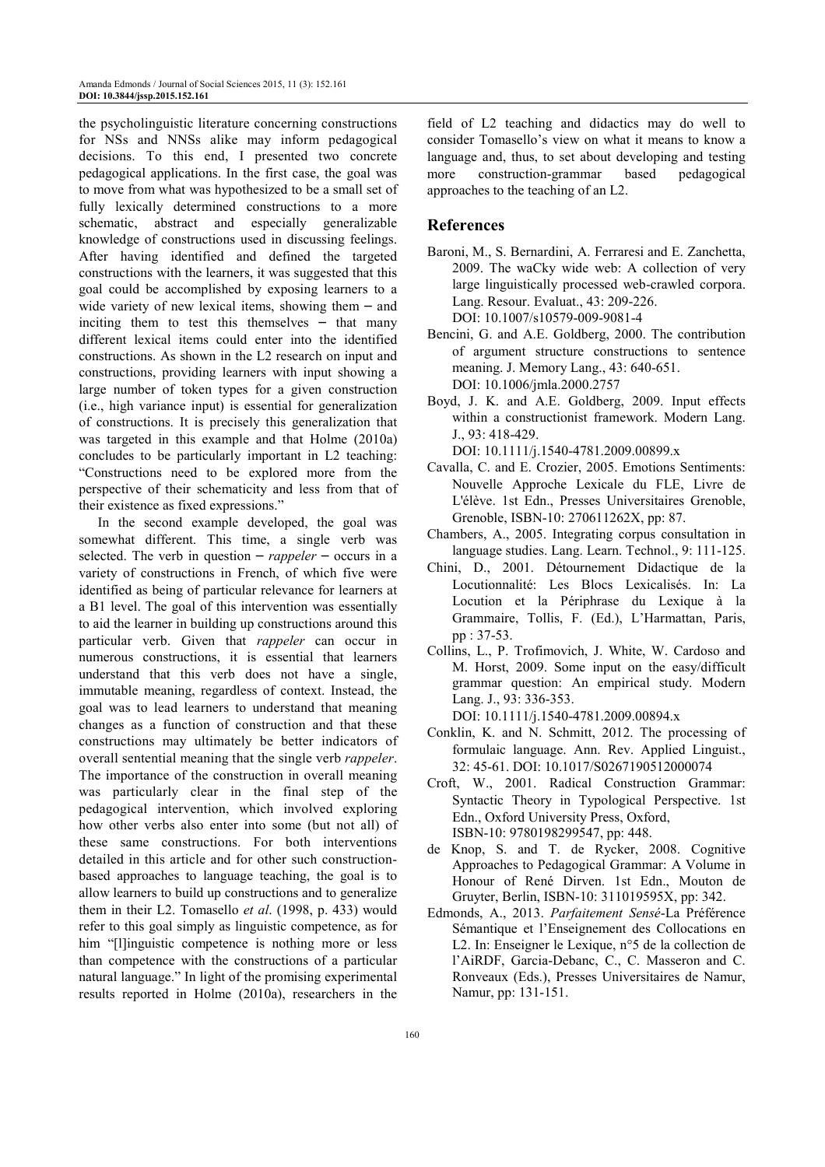the psycholinguistic literature concerning constructions for NSs and NNSs alike may inform pedagogical decisions. To this end, I presented two concrete pedagogical applications. In the first case, the goal was to move from what was hypothesized to be a small set of fully lexically determined constructions to a more schematic, abstract and especially generalizable knowledge of constructions used in discussing feelings. After having identified and defined the targeted constructions with the learners, it was suggested that this goal could be accomplished by exposing learners to a wide variety of new lexical items, showing them  $-$  and inciting them to test this themselves  $-$  that many different lexical items could enter into the identified constructions. As shown in the L2 research on input and constructions, providing learners with input showing a large number of token types for a given construction (i.e., high variance input) is essential for generalization of constructions. It is precisely this generalization that was targeted in this example and that Holme (2010a) concludes to be particularly important in L2 teaching: "Constructions need to be explored more from the perspective of their schematicity and less from that of their existence as fixed expressions."

In the second example developed, the goal was somewhat different. This time, a single verb was selected. The verb in question – *rappeler* – occurs in a variety of constructions in French, of which five were identified as being of particular relevance for learners at a B1 level. The goal of this intervention was essentially to aid the learner in building up constructions around this particular verb. Given that *rappeler* can occur in numerous constructions, it is essential that learners understand that this verb does not have a single, immutable meaning, regardless of context. Instead, the goal was to lead learners to understand that meaning changes as a function of construction and that these constructions may ultimately be better indicators of overall sentential meaning that the single verb *rappeler*. The importance of the construction in overall meaning was particularly clear in the final step of the pedagogical intervention, which involved exploring how other verbs also enter into some (but not all) of these same constructions. For both interventions detailed in this article and for other such constructionbased approaches to language teaching, the goal is to allow learners to build up constructions and to generalize them in their L2. Tomasello *et al*. (1998, p. 433) would refer to this goal simply as linguistic competence, as for him "[l]inguistic competence is nothing more or less than competence with the constructions of a particular natural language." In light of the promising experimental results reported in Holme (2010a), researchers in the

field of L2 teaching and didactics may do well to consider Tomasello's view on what it means to know a language and, thus, to set about developing and testing more construction-grammar based pedagogical approaches to the teaching of an L2.

# **References**

- Baroni, M., S. Bernardini, A. Ferraresi and E. Zanchetta, 2009. The waCky wide web: A collection of very large linguistically processed web-crawled corpora. Lang. Resour. Evaluat., 43: 209-226. DOI: 10.1007/s10579-009-9081-4
- Bencini, G. and A.E. Goldberg, 2000. The contribution of argument structure constructions to sentence meaning. J. Memory Lang., 43: 640-651. DOI: 10.1006/jmla.2000.2757
- Boyd, J. K. and A.E. Goldberg, 2009. Input effects within a constructionist framework. Modern Lang. J., 93: 418-429.

DOI: 10.1111/j.1540-4781.2009.00899.x

- Cavalla, C. and E. Crozier, 2005. Emotions Sentiments: Nouvelle Approche Lexicale du FLE, Livre de L'élève. 1st Edn., Presses Universitaires Grenoble, Grenoble, ISBN-10: 270611262X, pp: 87.
- Chambers, A., 2005. Integrating corpus consultation in language studies. Lang. Learn. Technol., 9: 111-125.
- Chini, D., 2001. Détournement Didactique de la Locutionnalité: Les Blocs Lexicalisés. In: La Locution et la Périphrase du Lexique à la Grammaire, Tollis, F. (Ed.), L'Harmattan, Paris, pp : 37-53.
- Collins, L., P. Trofimovich, J. White, W. Cardoso and M. Horst, 2009. Some input on the easy/difficult grammar question: An empirical study. Modern Lang. J., 93: 336-353.

DOI: 10.1111/j.1540-4781.2009.00894.x

- Conklin, K. and N. Schmitt, 2012. The processing of formulaic language. Ann. Rev. Applied Linguist., 32: 45-61. DOI: 10.1017/S0267190512000074
- Croft, W., 2001. Radical Construction Grammar: Syntactic Theory in Typological Perspective. 1st Edn., Oxford University Press, Oxford, ISBN-10: 9780198299547, pp: 448.
- de Knop, S. and T. de Rycker, 2008. Cognitive Approaches to Pedagogical Grammar: A Volume in Honour of René Dirven. 1st Edn., Mouton de Gruyter, Berlin, ISBN-10: 311019595X, pp: 342.
- Edmonds, A., 2013. *Parfaitement Sensé*-La Préférence Sémantique et l'Enseignement des Collocations en L2. In: Enseigner le Lexique, n°5 de la collection de l'AiRDF, Garcia-Debanc, C., C. Masseron and C. Ronveaux (Eds.), Presses Universitaires de Namur, Namur, pp: 131-151.